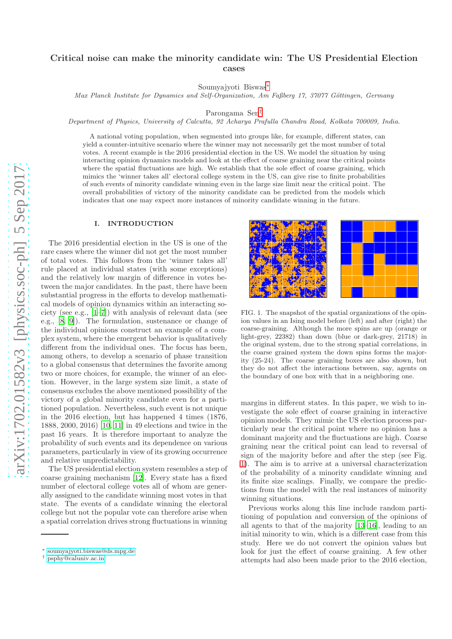# Critical noise can make the minority candidate win: The US Presidential Election cases

Soumyajyoti Biswas[∗](#page-0-0)

*Max Planck Institute for Dynamics and Self-Organization, Am Faßberg 17, 37077 Göttingen, Germany* 

Parongama Sen[†](#page-0-1)

*Department of Physics, University of Calcutta, 92 Acharya Prafulla Chandra Road, Kolkata 700009, India.*

A national voting population, when segmented into groups like, for example, different states, can yield a counter-intuitive scenario where the winner may not necessarily get the most number of total votes. A recent example is the 2016 presidential election in the US. We model the situation by using interacting opinion dynamics models and look at the effect of coarse graining near the critical points where the spatial fluctuations are high. We establish that the sole effect of coarse graining, which mimics the 'winner takes all' electoral college system in the US, can give rise to finite probabilities of such events of minority candidate winning even in the large size limit near the critical point. The overall probabilities of victory of the minority candidate can be predicted from the models which indicates that one may expect more instances of minority candidate winning in the future.

## I. INTRODUCTION

The 2016 presidential election in the US is one of the rare cases where the winner did not get the most number of total votes. This follows from the 'winner takes all' rule placed at individual states (with some exceptions) and the relatively low margin of difference in votes between the major candidates. In the past, there have been substantial progress in the efforts to develop mathematical models of opinion dynamics within an interacting society (see e.g., [\[1](#page-6-0)[–7\]](#page-6-1)) with analysis of relevant data (see e.g., [\[8](#page-6-2), [9](#page-6-3)]). The formulation, sustenance or change of the individual opinions construct an example of a complex system, where the emergent behavior is qualitatively different from the individual ones. The focus has been, among others, to develop a scenario of phase transition to a global consensus that determines the favorite among two or more choices, for example, the winner of an election. However, in the large system size limit, a state of consensus excludes the above mentioned possibility of the victory of a global minority candidate even for a partitioned population. Nevertheless, such event is not unique in the 2016 election, but has happened 4 times (1876, 1888, 2000, 2016) [\[10,](#page-6-4) [11](#page-6-5)] in 49 elections and twice in the past 16 years. It is therefore important to analyze the probability of such events and its dependence on various parameters, particularly in view of its growing occurrence and relative unpredictability.

The US presidential election system resembles a step of coarse graining mechanism [\[12\]](#page-6-6). Every state has a fixed number of electoral college votes all of whom are generally assigned to the candidate winning most votes in that state. The events of a candidate winning the electoral college but not the popular vote can therefore arise when a spatial correlation drives strong fluctuations in winning



<span id="page-0-2"></span>FIG. 1. The snapshot of the spatial organizations of the opinion values in an Ising model before (left) and after (right) the coarse-graining. Although the more spins are up (orange or light-grey, 22382) than down (blue or dark-grey, 21718) in the original system, due to the strong spatial correlations, in the coarse grained system the down spins forms the majority (25-24). The coarse graining boxes are also shown, but they do not affect the interactions between, say, agents on the boundary of one box with that in a neighboring one.

margins in different states. In this paper, we wish to investigate the sole effect of coarse graining in interactive opinion models. They mimic the US election process particularly near the critical point where no opinion has a dominant majority and the fluctuations are high. Coarse graining near the critical point can lead to reversal of sign of the majority before and after the step (see Fig. [1\)](#page-0-2). The aim is to arrive at a universal characterization of the probability of a minority candidate winning and its finite size scalings. Finally, we compare the predictions from the model with the real instances of minority winning situations.

Previous works along this line include random partitioning of population and conversion of the opinions of all agents to that of the majority [\[13](#page-6-7)[–16\]](#page-6-8), leading to an initial minority to win, which is a different case from this study. Here we do not convert the opinion values but look for just the effect of coarse graining. A few other attempts had also been made prior to the 2016 election,

<span id="page-0-0"></span><sup>∗</sup> [soumyajyoti.biswas@ds.mpg.de](mailto:soumyajyoti.biswas@ds.mpg.de)

<span id="page-0-1"></span><sup>†</sup> [psphy@caluniv.ac.in](mailto:psphy@caluniv.ac.in)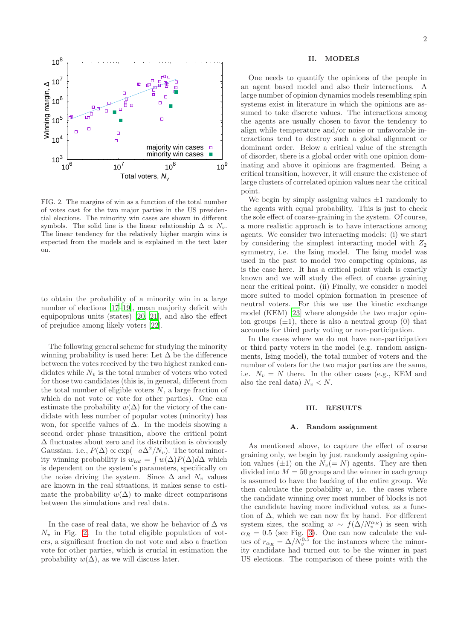

<span id="page-1-0"></span>FIG. 2. The margins of win as a function of the total number of votes cast for the two major parties in the US presidential elections. The minority win cases are shown in different symbols. The solid line is the linear relationship  $\Delta \propto N_v$ . The linear tendency for the relatively higher margin wins is expected from the models and is explained in the text later on.

to obtain the probability of a minority win in a large number of elections [\[17–](#page-6-9)[19\]](#page-6-10), mean majority deficit with equipopulous units (states) [\[20,](#page-6-11) [21](#page-6-12)], and also the effect of prejudice among likely voters [\[22\]](#page-6-13).

The following general scheme for studying the minority winning probability is used here: Let  $\Delta$  be the difference between the votes received by the two highest ranked candidates while  $N_v$  is the total number of voters who voted for those two candidates (this is, in general, different from the total number of eligible voters  $N$ , a large fraction of which do not vote or vote for other parties). One can estimate the probability  $w(\Delta)$  for the victory of the candidate with less number of popular votes (minority) has won, for specific values of  $\Delta$ . In the models showing a second order phase transition, above the critical point  $\Delta$  fluctuates about zero and its distribution is obviously Gaussian. i.e.,  $P(\Delta) \propto \exp(-a\Delta^2/N_v)$ . The total minority winning probability is  $w_{tot} = \int w(\Delta)P(\Delta)d\Delta$  which is dependent on the system's parameters, specifically on the noise driving the system. Since  $\Delta$  and  $N_v$  values are known in the real situations, it makes sense to estimate the probability  $w(\Delta)$  to make direct comparisons between the simulations and real data.

In the case of real data, we show he behavior of  $\Delta$  vs  $N_v$  in Fig. [2.](#page-1-0) In the total eligible population of voters, a significant fraction do not vote and also a fraction vote for other parties, which is crucial in estimation the probability  $w(\Delta)$ , as we will discuss later.

#### II. MODELS

One needs to quantify the opinions of the people in an agent based model and also their interactions. A large number of opinion dynamics models resembling spin systems exist in literature in which the opinions are assumed to take discrete values. The interactions among the agents are usually chosen to favor the tendency to align while temperature and/or noise or unfavorable interactions tend to destroy such a global alignment or dominant order. Below a critical value of the strength of disorder, there is a global order with one opinion dominating and above it opinions are fragmented. Being a critical transition, however, it will ensure the existence of large clusters of correlated opinion values near the critical point.

We begin by simply assigning values  $\pm 1$  randomly to the agents with equal probability. This is just to check the sole effect of coarse-graining in the system. Of course, a more realistic approach is to have interactions among agents. We consider two interacting models: (i) we start by considering the simplest interacting model with  $Z_2$ symmetry, i.e. the Ising model. The Ising model was used in the past to model two competing opinions, as is the case here. It has a critical point which is exactly known and we will study the effect of coarse graining near the critical point. (ii) Finally, we consider a model more suited to model opinion formation in presence of neutral voters. For this we use the kinetic exchange model (KEM) [\[23\]](#page-6-14) where alongside the two major opinion groups  $(\pm 1)$ , there is also a neutral group (0) that accounts for third party voting or non-participation.

In the cases where we do not have non-participation or third party voters in the model (e.g. random assignments, Ising model), the total number of voters and the number of voters for the two major parties are the same, i.e.  $N_v = N$  there. In the other cases (e.g., KEM and also the real data)  $N_v < N$ .

## III. RESULTS

#### <span id="page-1-1"></span>A. Random assignment

As mentioned above, to capture the effect of coarse graining only, we begin by just randomly assigning opinion values ( $\pm 1$ ) on the  $N_v (= N)$  agents. They are then divided into  $M = 50$  groups and the winner in each group is assumed to have the backing of the entire group. We then calculate the probability  $w$ , i.e. the cases where the candidate winning over most number of blocks is not the candidate having more individual votes, as a function of  $\Delta$ , which we can now fix by hand. For different system sizes, the scaling  $w \sim f(\Delta/N_v^{\alpha_R})$  is seen with  $\alpha_R = 0.5$  (see Fig. [3\)](#page-2-0). One can now calculate the values of  $r_{\alpha_R} = \Delta/N_v^{0.5}$  for the instances where the minority candidate had turned out to be the winner in past US elections. The comparison of these points with the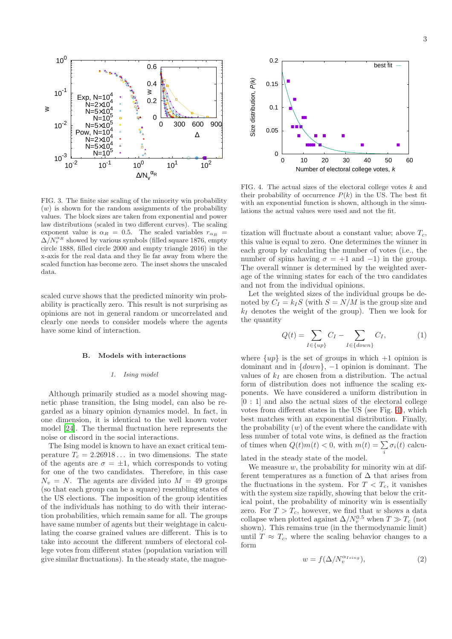

<span id="page-2-0"></span>FIG. 3. The finite size scaling of the minority win probability  $(w)$  is shown for the random assignments of the probability values. The block sizes are taken from exponential and power law distributions (scaled in two different curves). The scaling exponent value is  $\alpha_R = 0.5$ . The scaled variables  $r_{\alpha_R}$  =  $\Delta/N_v^{\alpha_R}$  showed by various symbols (filled square 1876, empty circle 1888, filled circle 2000 and empty triangle 2016) in the x-axis for the real data and they lie far away from where the scaled function has become zero. The inset shows the unscaled data.

scaled curve shows that the predicted minority win probability is practically zero. This result is not surprising as opinions are not in general random or uncorrelated and clearly one needs to consider models where the agents have some kind of interaction.

## B. Models with interactions

#### *1. Ising model*

Although primarily studied as a model showing magnetic phase transition, the Ising model, can also be regarded as a binary opinion dynamics model. In fact, in one dimension, it is identical to the well known voter model [\[24\]](#page-6-15). The thermal fluctuation here represents the noise or discord in the social interactions.

The Ising model is known to have an exact critical temperature  $T_c = 2.26918...$  in two dimensions. The state of the agents are  $\sigma = \pm 1$ , which corresponds to voting for one of the two candidates. Therefore, in this case  $N_v = N$ . The agents are divided into  $M = 49$  groups (so that each group can be a square) resembling states of the US elections. The imposition of the group identities of the individuals has nothing to do with their interaction probabilities, which remain same for all. The groups have same number of agents but their weightage in calculating the coarse grained values are different. This is to take into account the different numbers of electoral college votes from different states (population variation will give similar fluctuations). In the steady state, the magne-



<span id="page-2-1"></span>FIG. 4. The actual sizes of the electoral college votes  $k$  and their probability of occurrence  $P(k)$  in the US. The best fit with an exponential function is shown, although in the simulations the actual values were used and not the fit.

tization will fluctuate about a constant value; above  $T_c$ , this value is equal to zero. One determines the winner in each group by calculating the number of votes (i.e., the number of spins having  $\sigma = +1$  and  $-1$ ) in the group. The overall winner is determined by the weighted average of the winning states for each of the two candidates and not from the individual opinions.

Let the weighted sizes of the individual groups be denoted by  $C_I = k_I S$  (with  $S = N/M$  is the group size and  $k_I$  denotes the weight of the group). Then we look for the quantity

$$
Q(t) = \sum_{I \in \{up\}} C_I - \sum_{I \in \{down\}} C_I, \tag{1}
$$

where  $\{up\}$  is the set of groups in which  $+1$  opinion is dominant and in  $\{down\}$ , -1 opinion is dominant. The values of  $k_I$  are chosen from a distribution. The actual form of distribution does not influence the scaling exponents. We have considered a uniform distribution in [0 : 1] and also the actual sizes of the electoral college votes from different states in the US (see Fig. [4\)](#page-2-1), which best matches with an exponential distribution. Finally, the probability  $(w)$  of the event where the candidate with less number of total vote wins, is defined as the fraction of times when  $Q(t)m(t) < 0$ , with  $m(t) = \sum \sigma_i(t)$  calcui

lated in the steady state of the model.

We measure  $w$ , the probability for minority win at different temperatures as a function of  $\Delta$  that arises from the fluctuations in the system. For  $T < T_c$ , it vanishes with the system size rapidly, showing that below the critical point, the probability of minority win is essentially zero. For  $T > T_c$ , however, we find that w shows a data collapse when plotted against  $\Delta/N_v^{0.5}$  when  $T \gg T_c$  (not shown). This remains true (in the thermodynamic limit) until  $T \approx T_c$ , where the scaling behavior changes to a form

<span id="page-2-2"></span>
$$
w = f(\Delta/N_v^{\alpha_{Ising}}), \tag{2}
$$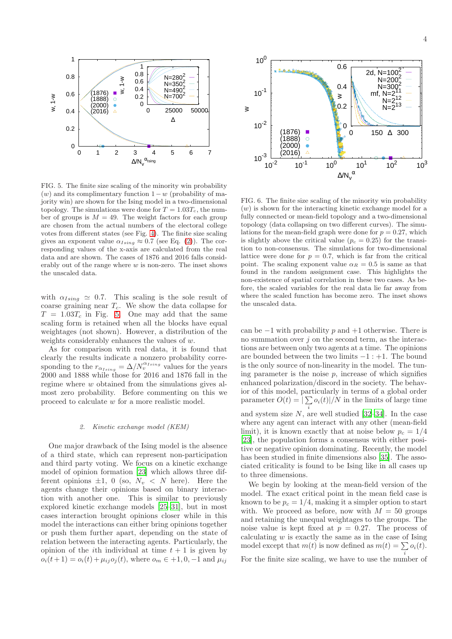

<span id="page-3-0"></span>FIG. 5. The finite size scaling of the minority win probability  $(w)$  and its complimentary function  $1-w$  (probability of majority win) are shown for the Ising model in a two-dimensional topology. The simulations were done for  $T = 1.03T_c$ , the number of groups is  $M = 49$ . The weight factors for each group are chosen from the actual numbers of the electoral college votes from different states (see Fig. [4\)](#page-2-1). The finite size scaling gives an exponent value  $\alpha_{Ising} \approx 0.7$  (see Eq. [\(2\)](#page-2-2)). The corresponding values of the x-axis are calculated from the real data and are shown. The cases of 1876 and 2016 falls considerably out of the range where  $w$  is non-zero. The inset shows the unscaled data.

with  $\alpha_{Ising} \simeq 0.7$ . This scaling is the sole result of coarse graining near  $T_c$ . We show the data collapse for  $T = 1.03T_c$  in Fig. [5.](#page-3-0) One may add that the same scaling form is retained when all the blocks have equal weightages (not shown). However, a distribution of the weights considerably enhances the values of w.

As for comparison with real data, it is found that clearly the results indicate a nonzero probability corresponding to the  $r_{\alpha_{Ising}} = \Delta/N_v^{\alpha_{Ising}}$  values for the years 2000 and 1888 while those for 2016 and 1876 fall in the regime where w obtained from the simulations gives almost zero probability. Before commenting on this we proceed to calculate w for a more realistic model.

## *2. Kinetic exchange model (KEM)*

One major drawback of the Ising model is the absence of a third state, which can represent non-participation and third party voting. We focus on a kinetic exchange model of opinion formation [\[23\]](#page-6-14) which allows three different opinions  $\pm 1$ , 0 (so,  $N_v < N$  here). Here the agents change their opinions based on binary interaction with another one. This is similar to previously explored kinetic exchange models [\[25](#page-6-16)[–31](#page-6-17)], but in most cases interaction brought opinions closer while in this model the interactions can either bring opinions together or push them further apart, depending on the state of relation between the interacting agents. Particularly, the opinion of the *i*th individual at time  $t + 1$  is given by  $o_i(t+1) = o_i(t) + \mu_{ij} o_j(t)$ , where  $o_m \in +1, 0, -1$  and  $\mu_{ij}$ 



<span id="page-3-1"></span>FIG. 6. The finite size scaling of the minority win probability  $(w)$  is shown for the interacting kinetic exchange model for a fully connected or mean-field topology and a two-dimensional topology (data collapsing on two different curves). The simulations for the mean-field graph were done for  $p = 0.27$ , which is slightly above the critical value ( $p_c = 0.25$ ) for the transition to non-consensus. The simulations for two-dimensional lattice were done for  $p = 0.7$ , which is far from the critical point. The scaling exponent value  $\alpha_R = 0.5$  is same as that found in the random assignment case. This highlights the non-existence of spatial correlation in these two cases. As before, the scaled variables for the real data lie far away from where the scaled function has become zero. The inset shows the unscaled data.

can be  $-1$  with probability p and  $+1$  otherwise. There is no summation over  $j$  on the second term, as the interactions are between only two agents at a time. The opinions are bounded between the two limits  $-1: +1$ . The bound is the only source of non-linearity in the model. The tuning parameter is the noise  $p$ , increase of which signifies enhanced polarization/discord in the society. The behavior of this model, particularly in terms of a global order parameter  $O(t) = \left(\sum o_i(t)\right)/N$  in the limits of large time i and system size  $N$ , are well studied [\[32](#page-6-18)[–34\]](#page-6-19). In the case where any agent can interact with any other (mean-field limit), it is known exactly that at noise below  $p_c = 1/4$ [\[23\]](#page-6-14), the population forms a consensus with either positive or negative opinion dominating. Recently, the model has been studied in finite dimensions also [\[35](#page-6-20)]. The associated criticality is found to be Ising like in all cases up

We begin by looking at the mean-field version of the model. The exact critical point in the mean field case is known to be  $p_c = 1/4$ , making it a simpler option to start with. We proceed as before, now with  $M = 50$  groups and retaining the unequal weightages to the groups. The noise value is kept fixed at  $p = 0.27$ . The process of calculating  $w$  is exactly the same as in the case of Ising model except that  $m(t)$  is now defined as  $m(t) = \sum_i o_i(t)$ .

to three dimensions.

For the finite size scaling, we have to use the number of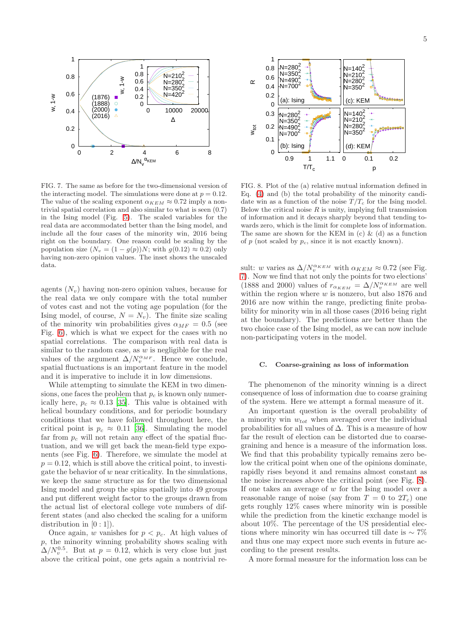

<span id="page-4-0"></span>FIG. 7. The same as before for the two-dimensional version of the interacting model. The simulations were done at  $p = 0.12$ . The value of the scaling exponent  $\alpha_{KEM} \approx 0.72$  imply a nontrivial spatial correlation and also similar to what is seen (0.7) in the Ising model (Fig. [5\)](#page-3-0). The scaled variables for the real data are accommodated better than the Ising model, and include all the four cases of the minority win, 2016 being right on the boundary. One reason could be scaling by the population size  $(N_v = (1 - g(p))N$ ; with  $g(0.12) \approx 0.2$ ) only having non-zero opinion values. The inset shows the unscaled data.

agents  $(N_v)$  having non-zero opinion values, because for the real data we only compare with the total number of votes cast and not the voting age population (for the Ising model, of course,  $N = N_v$ ). The finite size scaling of the minority win probabilities gives  $\alpha_{MF} = 0.5$  (see Fig. [6\)](#page-3-1), which is what we expect for the cases with no spatial correlations. The comparison with real data is similar to the random case, as  $w$  is negligible for the real values of the argument  $\Delta/N_v^{\alpha_{MF}}$ . Hence we conclude, spatial fluctuations is an important feature in the model and it is imperative to include it in low dimensions.

While attempting to simulate the KEM in two dimensions, one faces the problem that  $p_c$  is known only numerically here,  $p_c \approx 0.13$  [\[35](#page-6-20)]. This value is obtained with helical boundary conditions, and for periodic boundary conditions that we have followed throughout here, the critical point is  $p_c \approx 0.11$  [\[36\]](#page-6-21). Simulating the model far from  $p_c$  will not retain any effect of the spatial fluctuation, and we will get back the mean-field type exponents (see Fig. [6\)](#page-3-1). Therefore, we simulate the model at  $p = 0.12$ , which is still above the critical point, to investigate the behavior of  $w$  near criticality. In the simulations, we keep the same structure as for the two dimensional Ising model and group the spins spatially into 49 groups and put different weight factor to the groups drawn from the actual list of electoral college vote numbers of different states (and also checked the scaling for a uniform distribution in  $[0:1]$ ).

Once again, w vanishes for  $p < p_c$ . At high values of p, the minority winning probability shows scaling with  $\Delta/N_v^{0.5}$ . But at  $p = 0.12$ , which is very close but just above the critical point, one gets again a nontrivial re-



<span id="page-4-1"></span>FIG. 8. Plot of the (a) relative mutual information defined in Eq. [\(4\)](#page-5-0) and (b) the total probability of the minority candidate win as a function of the noise  $T/T_c$  for the Ising model. Below the critical noise  $R$  is unity, implying full transmission of information and it decays sharply beyond that tending towards zero, which is the limit for complete loss of information. The same are shown for the KEM in (c)  $\&$  (d) as a function of p (not scaled by  $p_c$ , since it is not exactly known).

sult: w varies as  $\Delta/N_v^{\alpha_{KEM}}$  with  $\alpha_{KEM} \approx 0.72$  (see Fig. [7\)](#page-4-0). Now we find that not only the points for two elections' (1888 and 2000) values of  $r_{\alpha_{KEM}} = \Delta/N_v^{\alpha_{KEM}}$  are well within the region where  $w$  is nonzero, but also 1876 and 2016 are now within the range, predicting finite probability for minority win in all those cases (2016 being right at the boundary). The predictions are better than the two choice case of the Ising model, as we can now include non-participating voters in the model.

#### C. Coarse-graining as loss of information

The phenomenon of the minority winning is a direct consequence of loss of information due to coarse graining of the system. Here we attempt a formal measure of it.

An important question is the overall probability of a minority win  $w_{tot}$  when averaged over the individual probabilities for all values of  $\Delta$ . This is a measure of how far the result of election can be distorted due to coarsegraining and hence is a measure of the information loss. We find that this probability typically remains zero below the critical point when one of the opinions dominate, rapidly rises beyond it and remains almost constant as the noise increases above the critical point (see Fig. [8\)](#page-4-1). If one takes an average of  $w$  for the Ising model over a reasonable range of noise (say from  $T = 0$  to  $2T_c$ ) one gets roughly 12% cases where minority win is possible while the prediction from the kinetic exchange model is about 10%. The percentage of the US presidential elections where minority win has occurred till date is  $\sim 7\%$ and thus one may expect more such events in future according to the present results.

A more formal measure for the information loss can be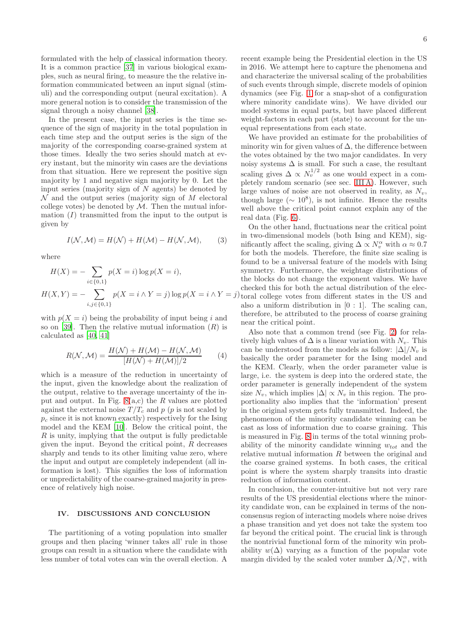formulated with the help of classical information theory. It is a common practice [\[37](#page-6-22)] in various biological examples, such as neural firing, to measure the the relative information communicated between an input signal (stimuli) and the corresponding output (neural excitation). A more general notion is to consider the transmission of the signal through a noisy channel [\[38](#page-6-23)].

In the present case, the input series is the time sequence of the sign of majority in the total population in each time step and the output series is the sign of the majority of the corresponding coarse-grained system at those times. Ideally the two series should match at every instant, but the minority win cases are the deviations from that situation. Here we represent the positive sign majority by 1 and negative sign majority by 0. Let the input series (majority sign of  $N$  agents) be denoted by  $\mathcal N$  and the output series (majority sign of M electoral college votes) be denoted by  $M$ . Then the mutual information  $(I)$  transmitted from the input to the output is given by

$$
I(\mathcal{N}, \mathcal{M}) = H(\mathcal{N}) + H(\mathcal{M}) - H(\mathcal{N}, \mathcal{M}), \qquad (3)
$$

where

$$
H(X) = -\sum_{i \in \{0,1\}} p(X = i) \log p(X = i),
$$
  

$$
H(X,Y) = -\sum_{i,j \in \{0,1\}} p(X = i \land Y = j) \log p(X = i \land Y = j)
$$

with  $p(X = i)$  being the probability of input being i and so on [\[39\]](#page-6-24). Then the relative mutual information  $(R)$  is calculated as [\[40,](#page-6-25) [41](#page-7-0)]

<span id="page-5-0"></span>
$$
R(\mathcal{N}, \mathcal{M}) = \frac{H(\mathcal{N}) + H(\mathcal{M}) - H(\mathcal{N}, \mathcal{M})}{[H(\mathcal{N}) + H(\mathcal{M})]/2} \tag{4}
$$

which is a measure of the reduction in uncertainty of the input, given the knowledge about the realization of the output, relative to the average uncertainty of the input and output. In Fig.  $8(a,c)$  the R values are plotted against the external noise  $T/T_c$  and p (p is not scaled by  $p_c$  since it is not known exactly) respectively for the Ising model and the KEM [\[10](#page-6-4)]. Below the critical point, the  $R$  is unity, implying that the output is fully predictable given the input. Beyond the critical point,  $R$  decreases sharply and tends to its other limiting value zero, where the input and output are completely independent (all information is lost). This signifies the loss of information or unpredictability of the coarse-grained majority in presence of relatively high noise.

## IV. DISCUSSIONS AND CONCLUSION

The partitioning of a voting population into smaller groups and then placing 'winner takes all' rule in those groups can result in a situation where the candidate with less number of total votes can win the overall election. A

recent example being the Presidential election in the US in 2016. We attempt here to capture the phenomena and and characterize the universal scaling of the probabilities of such events through simple, discrete models of opinion dynamics (see Fig. [1](#page-0-2) for a snap-shot of a configuration where minority candidate wins). We have divided our model systems in equal parts, but have placed different weight-factors in each part (state) to account for the unequal representations from each state.

We have provided an estimate for the probabilities of minority win for given values of  $\Delta$ , the difference between the votes obtained by the two major candidates. In very noisy systems  $\Delta$  is small. For such a case, the resultant scaling gives  $\Delta \propto N_v^{1/2}$  as one would expect in a completely random scenario (see sec. [III A\)](#page-1-1). However, such large values of noise are not observed in reality, as  $N_v$ , though large ( $\sim 10^8$ ), is not infinite. Hence the results well above the critical point cannot explain any of the real data (Fig. [6\)](#page-3-1).

On the other hand, fluctuations near the critical point in two-dimensional models (both Ising and KEM), significantly affect the scaling, giving  $\Delta \propto N_v^{\alpha}$  with  $\alpha \approx 0.7$ for both the models. Therefore, the finite size scaling is found to be a universal feature of the models with Ising symmetry. Furthermore, the weightage distributions of the blocks do not change the exponent values. We have checked this for both the actual distribution of the elec $t$ ) toral college votes from different states in the US and also a uniform distribution in  $[0:1]$ . The scaling can, therefore, be attributed to the process of coarse graining near the critical point.

Also note that a common trend (see Fig. [2\)](#page-1-0) for relatively high values of  $\Delta$  is a linear variation with  $N_v$ . This can be understood from the models as follow:  $|\Delta|/N_v$  is basically the order parameter for the Ising model and the KEM. Clearly, when the order parameter value is large, i.e. the system is deep into the ordered state, the order parameter is generally independent of the system size  $N_v$ , which implies  $|\Delta| \propto N_v$  in this region. The proportionality also implies that the 'information' present in the original system gets fully transmitted. Indeed, the phenomenon of the minority candidate winning can be cast as loss of information due to coarse graining. This is measured in Fig. [8](#page-4-1) in terms of the total winning probability of the minority candidate winning  $w_{tot}$  and the relative mutual information R between the original and the coarse grained systems. In both cases, the critical point is where the system sharply transits into drastic reduction of information content.

In conclusion, the counter-intuitive but not very rare results of the US presidential elections where the minority candidate won, can be explained in terms of the nonconsensus region of interacting models where noise drives a phase transition and yet does not take the system too far beyond the critical point. The crucial link is through the nontrivial functional form of the minority win probability  $w(\Delta)$  varying as a function of the popular vote margin divided by the scaled voter number  $\Delta/N_v^{\alpha}$ , with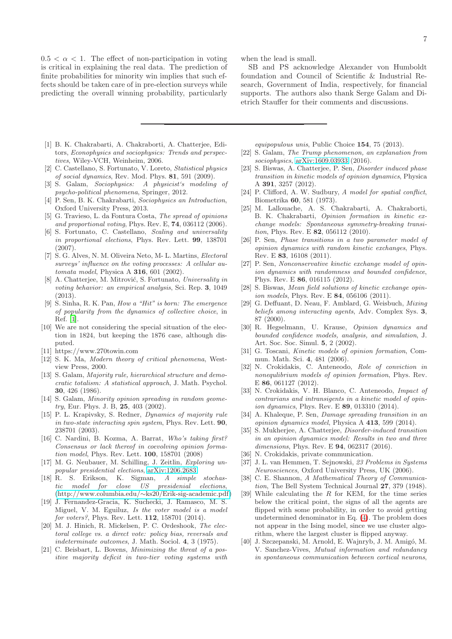$0.5 < \alpha < 1$ . The effect of non-participation in voting is critical in explaining the real data. The prediction of finite probabilities for minority win implies that such effects should be taken care of in pre-election surveys while predicting the overall winning probability, particularly

- <span id="page-6-0"></span>[1] B. K. Chakrabarti, A. Chakraborti, A. Chatterjee, Editors, *Econophysics and sociophysics: Trends and perspectives*, Wiley-VCH, Weinheim, 2006.
- [2] C. Castellano, S. Fortunato, V. Loreto, *Statistical physics of social dynamics*, Rev. Mod. Phys. 81, 591 (2009).
- [3] S. Galam, *Sociophysics: A physicist's modeling of psycho-political phenomena*, Springer, 2012.
- [4] P. Sen, B. K. Chakrabarti, *Sociophysics an Introduction*, Oxford University Press, 2013.
- [5] G. Travieso, L. da Fontura Costa, *The spread of opinions and proportional voting*, Phys. Rev. E, 74, 036112 (2006).
- [6] S. Fortunato, C. Castellano, *Scaling and universality in proportional elections*, Phys. Rev. Lett. 99, 138701 (2007).
- <span id="page-6-1"></span>[7] S. G. Alves, N. M. Oliveira Neto, M- L. Martins, *Electoral surveys' influence on the voting processes: A cellular automata model*, Physica A 316, 601 (2002).
- <span id="page-6-2"></span>[8] A. Chatterjee, M. Mitrović, S. Fortunato, *Universality in voting behavior: an empirical analysis*, Sci. Rep. 3, 1049 (2013).
- <span id="page-6-3"></span>[9] S. Sinha, R. K. Pan, *How a "Hit" is born: The emergence of popularity from the dynamics of collective choice*, in Ref. [\[1\]](#page-6-0).
- <span id="page-6-4"></span>[10] We are not considering the special situation of the election in 1824, but keeping the 1876 case, although disputed.
- <span id="page-6-5"></span>[11] https://www.270towin.com
- <span id="page-6-6"></span>[12] S. K. Ma, *Modern theory of critical phenomena*, Westview Press, 2000.
- <span id="page-6-7"></span>[13] S. Galam, *Majority rule, hierarchical structure and democratic totalism: A statistical approach*, J. Math. Psychol. 30, 426 (1986).
- [14] S. Galam, *Minority opinion spreading in random geometry*, Eur. Phys. J. B, 25, 403 (2002).
- [15] P. L. Krapivsky, S. Redner, *Dynamics of majority rule in two-state interacting spin system*, Phys. Rev. Lett. 90, 238701 (2003).
- <span id="page-6-8"></span>[16] C. Nardini, B. Kozma, A. Barrat, *Who's taking first? Consensus or lack thereof in coevolving opinion formation model*, Phys. Rev. Lett. 100, 158701 (2008)
- <span id="page-6-9"></span>[17] M. G. Neubauer, M. Schilling, J. Zeitlin, *Exploring unpopular presidential elections*, [arXiv:1206.2683.](http://arxiv.org/abs/1206.2683)
- [18] R. S. Erikson, K. Sigman, *A simple stochastic model for close US presidenial elections*, (http://www.columbia.edu/∼[ks20/Erik-sig-academic.pdf\)](http://www.columbia.edu/~ks20/Erik-sig-academic.pdf)
- <span id="page-6-10"></span>[19] J. Fernandez-Gracia, K. Suchecki, J. Ramasco, M. S. Miguel, V. M. Eguiluz, *Is the voter model is a model for voters?*, Phys. Rev. Lett. 112, 158701 (2014).
- <span id="page-6-11"></span>[20] M. J. Hinich, R. Mickelsen, P. C. Ordeshook, *The electoral college vs. a direct vote: policy bias, reversals and indeterminate outcomes*, J. Math. Sociol. 4, 3 (1975).
- <span id="page-6-12"></span>[21] C. Beisbart, L. Bovens, *Minimizing the threat of a positive majority deficit in two-tier voting systems with*

when the lead is small.

SB and PS acknowledge Alexander von Humboldt foundation and Council of Scientific & Industrial Research, Government of India, respectively, for financial supports. The authors also thank Serge Galam and Dietrich Stauffer for their comments and discussions.

*equipopulous unis*, Public Choice 154, 75 (2013).

- <span id="page-6-13"></span>[22] S. Galam, *The Trump phenomenon, an explanation from sociophysics*, [arXiv:1609.03933](http://arxiv.org/abs/1609.03933) (2016).
- <span id="page-6-14"></span>[23] S. Biswas, A. Chatterjee, P. Sen, *Disorder induced phase transition in kinetic models of opinion dynamics*, Physica A 391, 3257 (2012).
- <span id="page-6-15"></span>[24] P. Clifford, A. W. Sudbury, *A model for spatial conflict*, Biometrika 60, 581 (1973).
- <span id="page-6-16"></span>[25] M. Lallouache, A. S. Chakrabarti, A. Chakraborti, B. K. Chakrabarti, *Opinion formation in kinetic exchange models: Spontaneous symmetry-breaking transition*, Phys. Rev. E 82, 056112 (2010).
- [26] P. Sen, *Phase transitions in a two parameter model of opinion dynamics with random kinetic exchanges*, Phys. Rev. E 83, 16108 (2011).
- [27] P. Sen, *Nonconservative kinetic exchange model of opinion dynamics with randomness and bounded confidence*, Phys. Rev. E 86, 016115 (2012).
- [28] S. Biswas, *Mean field solutions of kinetic exchange opinion models*, Phys. Rev. E 84, 056106 (2011).
- [29] G. Deffuant, D. Neau, F. Amblard, G. Weisbuch, *Mixing beliefs among interacting agents*, Adv. Complex Sys. 3, 87 (2000).
- [30] R. Hegselmann, U. Krause, *Opinion dynamics and bounded confidence models, analysis, and simulation*, J. Art. Soc. Soc. Simul. 5, 2 (2002).
- <span id="page-6-17"></span>[31] G. Toscani, *Kinetic models of opinion formation*, Commun. Math. Sci. 4, 481 (2006).
- <span id="page-6-18"></span>[32] N. Crokidakis, C. Anteneodo, *Role of conviction in nonequlibrium models of opinion formation*, Phys. Rev. E 86, 061127 (2012).
- [33] N. Crokidakis, V. H. Blanco, C. Anteneodo, *Impact of contrarians and intransigents in a kinetic model of opinion dynamics*, Phys. Rev. E 89, 013310 (2014).
- <span id="page-6-19"></span>[34] A. Khaleque, P. Sen, *Damage spreading transition in an opinion dynamics model*, Physica A 413, 599 (2014).
- <span id="page-6-20"></span>[35] S. Mukherjee, A. Chatterjee, *Disorder-induced transition in an opinion dynamics model: Results in two and three dimensions*, Phys. Rev. E 94, 062317 (2016).
- <span id="page-6-21"></span>[36] N. Crokidakis, private communication.
- <span id="page-6-22"></span>[37] J. L. van Hemmen, T. Sejnowski, *23 Problems in Systems Neurosciences*, Oxford University Press, UK (2006).
- <span id="page-6-23"></span>[38] C. E. Shannon, *A Mathematical Theory of Communication*, The Bell System Technical Journal 27, 379 (1948).
- <span id="page-6-24"></span>[39] While calculating the R for KEM, for the time series below the critical point, the signs of all the agents are flipped with some probability, in order to avoid getting undetermined denominator in Eq. [\(4\)](#page-5-0). The problem does not appear in the Ising model, since we use cluster algorithm, where the largest cluster is flipped anyway.
- <span id="page-6-25"></span>[40] J. Szczepanski, M. Arnold, E. Wajnryb, J. M. Amigó, M. V. Sanchez-Vives, *Mutual information and redundancy in spontaneous communication between cortical neurons*,